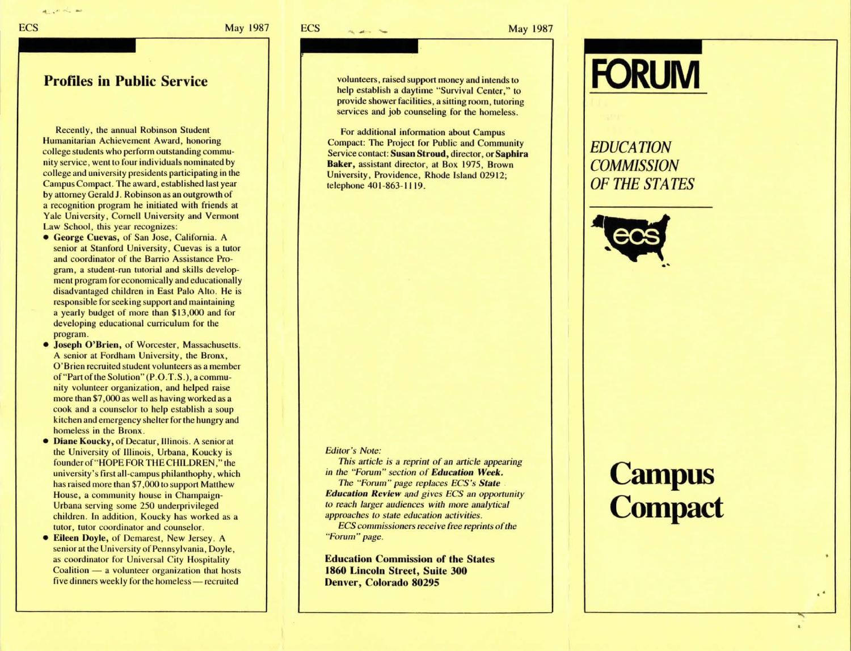'lo■ -

-

■

**ECS** 

the same that

May 1987

#### **Profiles in Public Service**

- ■

Recently, the annual Robinson Student Humanitarian Achievement Award, honoring college students who perform outstanding community service, went to four individuals nominated by college and university presidents participating in the Campus Compact. The award, established last year by attorney Gerald J. Robinson as an outgrowth of a recognition program he initiated with friends at Yale University, Cornell University and Vermont Law School, this year recognizes:

- **George Cuevas,** of San Jose, California. A senior at Stanford University, Cuevas is a tutor and coordinator of the Barrio Assistance Program, a student-run tutorial and skills development program for economically and educationally disadvantaged children in East Palo Alto. He is responsible for seeking support and maintaining a yearly budget of more than \$13,000 and for developing educational curriculum for the program.
- **Joseph O'Brien, of Worcester, Massachusetts.** A senior at Fordham University, the Bronx, O'Brien recruited student volunteers as a member of"Part of the Solution" (P.O.T.S.), a community volunteer organization, and helped raise more than \$7,000 as well as having worked as a cook and a counselor to help establish a soup kitchen and emergency shelter for the hungry and homeless in the Bronx.
- **Diane Koucky,** of Decatur, Illinois. A senior at the University of Illinois, Urbana, Koucky is founder of "HOPE FOR THE CHILDREN." the university's first all-campus philanthophy, which has raised more than \$7,000 to support Matthew House, a community house in Champaign-Urbana serving some 250 underprivileged children. In addition, Koucky has worked as a tutor, tutor coordinator and counselor.
- **Eileen Doyle,** of Demarest, New Jersey. A senior at the University of Pennsylvania, Doyle, as coordinator for Universal City Hospitality Coalition - a volunteer organization that hosts five dinners weekly for the homeless - recruited

volunteers, raised support money and intends to help establish a daytime "Survival Center," to provide shower facilities, a silting room, tutoring services and job counseling for the homeless.

For additional information about Campus Compact: The Project for Public and Community Service contact: **Susan Stroud,** director, or **Saphira Baker,** assistant director, at Box 1975, Brown University, Providence, Rhode Island 02912; telephone 401-863-1119.

#### *Editor's Note:*

*This article is a reprint of an article appearing in the '·Forum" section of Education Week. The "Forum" page replaces ECS's Stute* . *Education Review and gives ECS an opportunity to reach larger audiences with more analytical approaches to stale education activities.* 

*ECS commissioners receive free reprints of the '·Forum" page.* 

**Education Commission of the States 1860 Lincoln Street, Suite 300 Denver, Colorado 80295** 

# **FORUM**

### *EDUCATION COMMISSION OF THE STATES*



...

~

..

## **Campus Compact**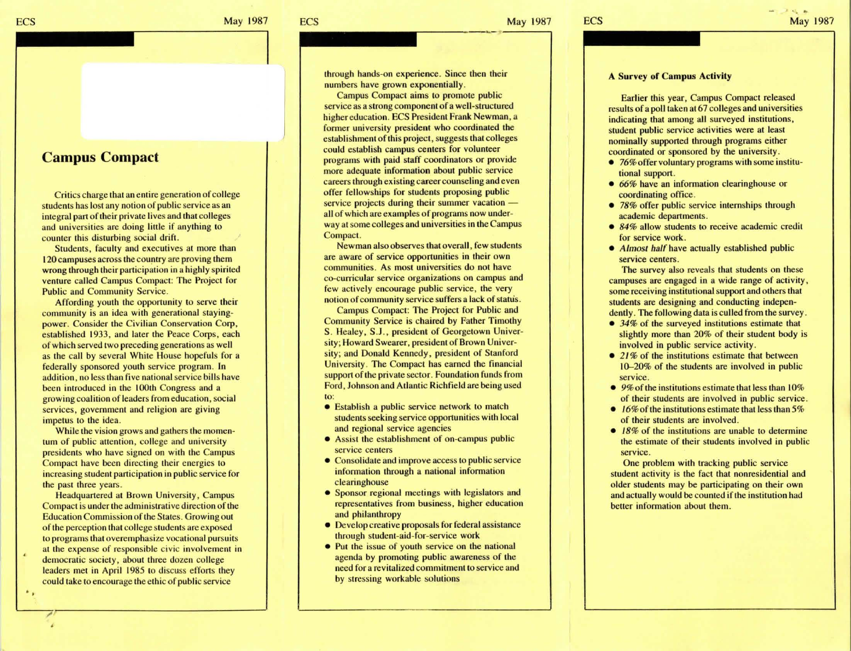**ECS** 

Critics charge that an entire generation of college students has lost any notion of public service as an integral part of their private lives and that colleges and universities are doing little if anything to counter this disturbing social drift.

Students, faculty and executives at more than 120 campuses across the country are proving them wrong through their participation in a highly spirited venture called Campus Compact: The Project for Public and Community Service.

Affording youth the opportunity to serve their community is an idea with generational stayingpower. Consider the Civilian Conservation Corp, established 1933, and later the Peace Corps, each of which served two preceding generations as well as the call by several White House hopefuls for a federally sponsored youth service program. In addition, no less than five national service bills have been introduced in the 100th Congress and a growing coalition of leaders from education, social services, government and religion are giving impetus to the idea.

While the vision grows and gathers the momentum of public attention, college and university presidents who have signed on with the Campus Compact have been directing their energies to increasing student participation in public service for the past three years.

Headquartered at Brown University, Campus Compact is under the administrative direction of the Education Commission of the States. Growing out of the perception that college students are exposed to programs that overemphasize vocational pursuits at the expense of responsible civic involvement in democratic society, about three dozen college leaders met in April 1985 to discuss efforts they could take to encourage the ethic of public service

..

through hands-on experience. Since then their numbers have grown exponentially.

Campus Compact aims to promote public service as a strong component of a well-structured higher education. ECS President Frank Newman, a former university president who coordinated the establishment of this project, suggests that colleges could establish campus centers for volunteer programs with paid staff coordinators or provide more adequate information about public service careers through existing career counseling and even offer fellowships for students proposing public service projects during their summer vacation  $$ all of which are examples of programs now underway at some colleges and universities in the Campus Compact.

Newman also observes that overall, few students are aware of service opportunities in their own communities. As most universities do not have co-curricular service organizations on campus and few actively encourage public service, the very notion of community service suffers a lack of status.

Campus Compact: The Project for Public and Community Service is chaired by Father Timothy S. Healey, S.J., president of Georgetown University; Howard Swearer, president of Brown University; and Donald Kennedy, president of Stanford University. The Compact has earned the financial support of the private sector. Foundation funds from Ford, Johnson and Atlantic Richfield are being used to:

- Establish a public service network to match students seeking service opportunities with local and regional service agencies
- Assist the establishment of on-campus public service centers
- .. • Consolidate and improve access to public service information through a national information clearinghouse
	- Sponsor regional meetings with legislators and representatives from business, higher education and philanthropy
	- Develop creative proposals for federal assistance through student-aid-for-service work
	- Put the issue of youth service on the national agenda by promoting public awareness of the need for a revitalized commitment to service and by stressing workable solutions

#### **A Survey or Campus Activity**

Earlier this year, Campus Compact released results of a poll taken at 67 colleges and universities indicating that among all surveyed institutions, student public service activities were at least nominally supported through programs either coordinated or sponsored by the university.

- 76% offer voluntary programs with some institutional support.
- *66%* have an information clearinghouse or coordinating office.
- 78% offer public service internships through academic departments.
- 84% allow students to receive academic credit for service work.
- *Almost half* have actually established public service centers.

The survey also reveals that students on these campuses are engaged in a wide range of activity, some receiving institutional support and others that students are designing and conducting independently. The following data is culled from the survey.

- 34% of the surveyed institutions estimate that slightly more than 20% of their student body is involved in public service activity.
- 21% of the institutions estimate that between 10-20% of the students are involved in public service.
- $\bullet$  9% of the institutions estimate that less than 10% of their students are involved in public service.
- /6%ofthe institutions estimate that less than *5%*  of their students are involved.
- 18% of the institutions are unable to determine the estimate of their students involved in public service.

One problem with tracking public service student activity is the fact that nonresidential and older students may be participating on their own and actually would be counted if the institution had better information about them.

**ECS** 

**r.** 

 $\epsilon_{\rm B}$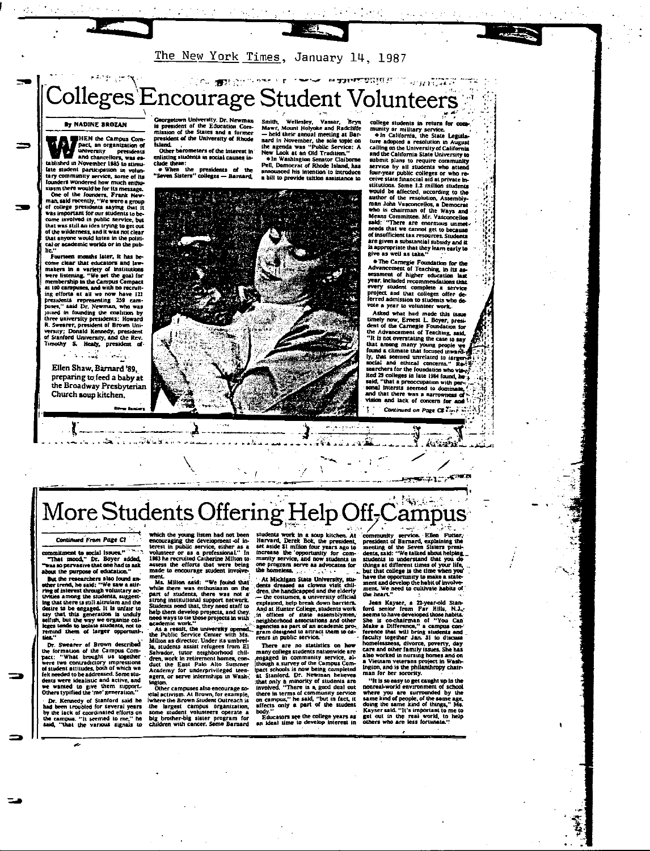

### **SON STROUGHT TO THE MODERN TO SAY ROLL** Colleges Encourage Student Volunteers

By NADINE BROZAN

HEN the Campus Compact, an organization of<br>university presidents<br>and chancellors, was established in November 1985 to stin tablished in November 1985 to stimulate student participation in volume<br>tary community service, some of its foundars wondered how much enthus<br>starm there would be for its message.<br>Siarm there would be for its message.<br>One of the wilderness, and if was not clear that anyone would listen in the political or academic worlds or in the pub-

..<br>Fourteen months later, it has be-Fourteen months later, it has be-<br>come clear that educators and law-<br>makers in a variety of institutions<br>were listening. "We set the goal for<br>membership in the Campus Compact<br>at all campuses, and with no recruit-<br>ing effo ing efforts at all we now have 121<br>presulting 259 cam-<br>presenting 259 cam-<br>present and Dr. Newman, who was<br>poined in founding the coalition by<br>three university presidents: Howard<br>R. Sweener, president of Brown University,

Ellen Shaw, Barnard '89, preparing to feed a baby at the Broadway Presbyterian Church soup kitchen.

**reity. Dr. Newman** Subsequent of the Education. Com-<br>It is president of the Education. Com-<br>mission of the University of Rhode 

island.<br>- Other barometers of the interest in<br>enlisting students in social causes include these: o When the presidents of the<br>Seven Sisters'' colleges — Barnard

Smith, Wellesley, Vassar, Bryn<br>Mawr, Mount Holyoke and Radcliffe<br>— held their annual meeting at Bar-<br>nard in November, the sole topic on .<br>Smith

-27

new in viverincer, the side uppe on<br>the agenda was "Public Service: A<br>New Look at an Old Tradition."<br>• In Washington Senator Claiborne<br>Pell, Democrat of Rhode Island, has nced his intention to introduce a hill to provide turision assistance to

college students in return for cor

conege students in return for com-<br>munity or military service.<br>In California, the State Legisla-<br>ture adopted a resolution in August<br>California<br>and the California State University to<br>and the California State University to and the California Siste University to<br>and the California Siste University to<br>selonit plans to require community<br>service by all students who attend<br>ceive state financial aid at private in-<br>ceive state financial aid at priv There are enormous unmed. said; "There are enormous unmet<br>needs that we cannot get to because<br>of insufficient tax resources. Students<br>are given a substantial subsidy and it<br>is appropriate that they learn early to<br>give as well as take."

give as well as take."<br>
• The Carregie Foundation for the<br>
• The Carregie Foundation, in its as-<br>
sessment of higher educations that<br>
year, included recommendations that<br>
year, included recommendations that<br>
project and th vote a year to volunteer work.

Voce a year to volunteer work.<br>Asked what had made this issue<br>timely now, Ernest L. Boyer, presi-<br>dent of the Carnegie Foundation for<br>the Advancement of Teaching, said,<br>"It is not overstating the case to say that are that among many young people we Four a unique una unique terminal concerns."<br>Social and ethical concerns." Re-1<br>searchers for the foundation who view-<br>ited 29 colleges in late 1984 found, he-3 Correges an race coverages.<br>"that a preoccupation with per 28 sonal intersts seemed to domi away music comes to and lack of concern for an





#### ી લેવાયું છે. More Students Offering Help Off-Campus

Continued From Page Cl

 $\overline{a}$ commitment to social issues." "That mood," Dr. Boyer added,<br>"That mood," Dr. Boyer added,<br>"was so pervasive that one had to ask about the purpose of education."

about the purpose of education."<br>
But the researchers also found an-<br>
ther trend, he said: "We saw a stir-<br>
ring of interest through voluntary ac-<br>
thrigh that there is still altruism and the<br>
lighthat there is the eigaped remind them of larger opportuni-

DES."<br>Dr. Swearer of Brown described<br>the formation of the Campus Commercial<br>pact: "What brought us together<br>were two contradictory impressions<br>of student attitudes, both of which we<br>deter designed Some sum dents were idealistic and active, and<br>we wanted to give them support-<br>Others typified the 'me' generation."

One is pure<br>of Stanford said he<br>had been troubled for several years<br>by the lack of coordinated efforts on<br>the campus. "It seemed to me," he<br>said, "that the various signals to

which the young listen had not been<br>encouraging the development of interest in public service, either as a<br>volunteer or as a professional." In<br>1983 he recruited Catherine Milton to-<br>assess the efforts that were being<br>made

ment.<br>
Ma. Milton asid: "We found that<br>
Ma. Milton asid: "We found that<br>
while there was emhusiasm on the<br>
part of students, there was not a<br>
strong institutional support network.<br>
Students need that, thy need staff to<br>
St help them develop projects, and they need ways to tie those projects in with

need ways to the those projects in with<br>a needernic work."<br>As a result, the university operated.<br>the Public Service Center with Msi.<br>Milton as director. Under its umbrel-<br>la, students assist religiose from El.<br>Salvador, tu

ington.<br>Other campuses also encourage soother campuses also encourage so-<br>claimed in the Brown Sudent Context of the Brayers of the Brayers of the Brayers of the line<br>the largest campus organization, some student volunteers operate a<br>big brother-big sister progr students work in a soup kitchen. At Harvard, Derek Bok, the president, set aside 3 in filion four years ago to immulty service, and now students in munity service, and now students in one program serve as advocates for th

the homeless,  $\ldots$ <br>
An idealgan State University, studies and the control of the family dents densed as clows visit children<br>
dents dreased as clows a sure of the electric<br>
dents denote a university of ficial<br>
And at Hun

There are no statistics on how<br>many college students nationwide are engaged in community service, al-<br>though a survey of the Campus Com-(though a survey of the Campus Com-<br>liphot since the Campus Com-<br>at Stanferd. Dr. Newman helieves<br>at Stanferd. Dr. Newman helieves<br>that snly a minority of students are<br>throwed. "There is a good deal out<br>there is test the

nooy."<br>Educators see the college years as<br>an ideal time to develop interest in

community service. Elian Future,<br>president of Barnard, explaining the meeting of the Seven Sizierar president<br>dents, said: "We talked about helping, students in understand that you do<br>things at different times of your lif

the heart."<br>
Jean Kayser, a 22-year-old Stan-<br>
Jean Kayser, a 22-year-old Stan-<br>
ford senior from Far Hills, N.J.,<br>
seems to have developed booseholds.<br>
She is co-chairman of "You Can<br>
Hearter that will bring stocked and<br>

man for her sorority.<br>"It is so easy to get caught up in the<br>nonreal-world environment of school<br>where you are urrounded by the<br>same kind of people, of the same age,<br>doing the same kind of things," Ms,<br>Kayser said. "It is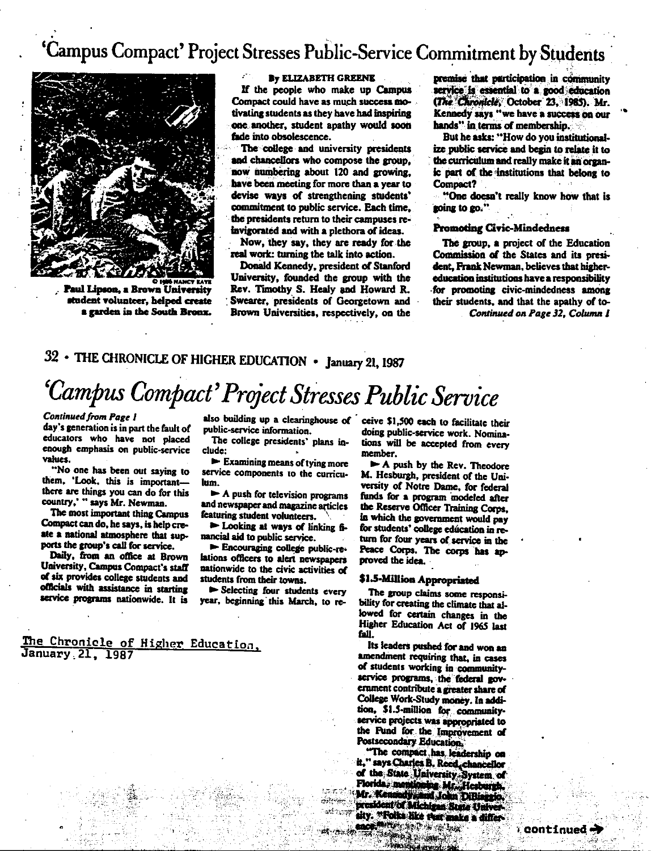## 'Campus Compact' Project Stresses Public-Service Commitment by Students



Paul Lipson. a Brown University student volunteer, helped create a garden in the South Bronx.

#### **By ELIZABETH GREENE**

If the people who make up Campus Compact could have as much success motivating students as they have had inspiring one another, student apathy would soon fade into obsolescence.

The college and university presidents and chancellors who compose the group. now numbering about 120 and growing. have been meeting for more than a vear to devise ways of strengthening students' commitment to public service. Each time, the presidents return to their campuses reinvigorated and with a plethora of ideas.

Now, they say, they are ready for the real work: turning the talk into action.

Donald Kennedy, president of Stanford University, founded the group with the Rev. Timothy S. Healy and Howard R. Swearer, presidents of Georgetown and Brown Universities, respectively, on the

premise that participation in community service is essential to a good education (The Chronicle, October 23, 1985). Mr. Kennedy says "we have a success on our hands" in terms of membershin.

But he asks: "How do you institutionalize public service and begin to relate it to the curriculum and really make it an organic part of the institutions that belong to Compact?

"One doesn't really know how that is noing to go.".

#### **Promoting Civic-Mindedness**

The group, a project of the Education Commission of the States and its president. Frank Newman, believes that highereducation institutions have a responsibility for promoting civic-mindedness among their students, and that the apathy of to-Continued on Page 32, Column 1

## 32 • THE CHRONICLE OF HIGHER EDUCATION • January 21, 1987

## 'Campus Compact' Project Stresses Public Service

#### **Continued from Page 1**

day's generation is in part the fault of educators who have not placed enough emphasis on public-service values.

"No one has been out saying to them. 'Look, this is importantthere are things you can do for this country,' " says Mr. Newman.

The most important thing Campus Compact can do, he says, is help create a national atmosphere that supports the group's call for service.

Daily, from an office at Brown University, Campus Compact's staff of six provides college students and officials with assistance in starting service programs nationwide. It is

January 21, 1987

The Chronicle of Higher Education,

public-service information.

The college presidents' plans include:

 $\blacktriangleright$  Examining means of tying more service components to the curriculum.

 $\blacktriangleright$  A push for television programs and newspaper and magazine articles featuring student volunteers.

> Looking at ways of linking financial aid to public service.

Encouraging college public-relations officers to alert newspapers nationwide to the civic activities of students from their towns.

Selecting four students every year, beginning this March, to re-

also building up a clearinghouse of ceive \$1,500 each to facilitate their doing public-service work. Nominations will be accepted from every member.

> A push by the Rev. Theodore M. Hesburgh, president of the University of Notre Dame, for federal funds for a program modeled after the Reserve Officer Training Corps. in which the government would pay for students' college education in return for four years of service in the Peace Corps. The corps has approved the idea.

#### \$1.5-Million Appropriated

The group claims some responsibility for creating the climate that allowed for certain changes in the Higher Education Act of 1965 last fall.

Its leaders pushed for and won an amendment requiring that, in cases of students working in communityservice programs, the federal government contribute a greater share of College Work-Study money. In addition, \$1.5-million for communityservice projects was appropriated to the Fund for the Improvement of Postsecondary Education,

"The compact has leadership on it," says Charles B. Reed, chancellor of the State University System of Plorida: mentioning Mr., Hesburgh,<br>Mr. Kennedy, and John DiBiaggio,<br>president of Michigan State Univer ುಲೆ ಒಂದು sity. "Folks like that make a differmor<sup>ana</sup>n Soosa ay ahay 林小脉語

<sup>3</sup> (Treaty and I 操造

i je predstavljana predstavljana

r continued <del>-)</del>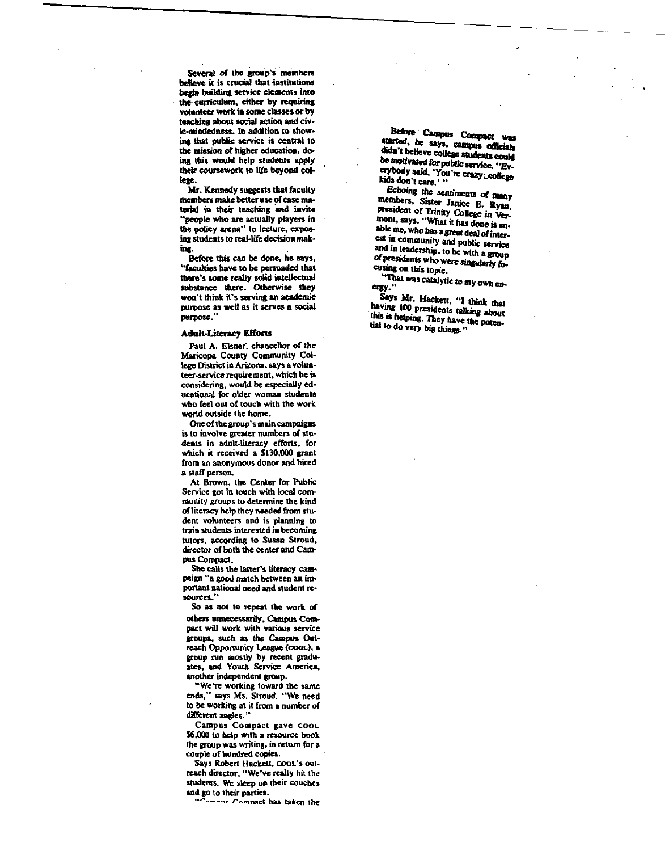Several of the group's members believe it is crucial that institutions begin building service elements into the curriculum, cither by requiring YOluntccr work in some classes or by teaching about social action and civic-mindedness. In addition IO showing that public service is central to **Che** mission of higher education, doing this would help students apply their coursework to life beyond colteae.

Mr. Kennedy suggests that faculty members make better use of case material in their teaching and invite "people who are actually players in the policy arena<sup>\*</sup> to lecture, exposing students to real-life decision making.

Before Ibis can be dnnc, he says. "faculties have to be persuaded that there's some really solid intellectual substance there. Otherwise they won't think it's serving an academic purpose as well as it serves a social purpose."

#### **Adult-1.itency Elforts**

Paul A. Elsner, chancellor of the Maricopa County Community College District in Arizona. says a volunteer-service requirement, which he is considering, would be especially educational for older woman students who feel out of touch with the work. world outside the home.

One of the group's main campaigns is to involve greater numbers of students in adult-literacy efforts, for which it received a \$130,000 grant from an anonymous donor and hired a staff person.

At Brown, the Center for Public Service got in touch with local community groups to determine the kind of literacy help they needed from student volunteers and is planning to train students interested in becoming tutors, according to Susan Stroud, director of both the ccnler and Campus Compact.

She calls the latter's literacy campaign "'a good match between an important national need and student re-<br>sources."

So as not to repeat the work of others unnecessarily. Campus Compact will work with various service groups, such as the Campus Outreach Opportunity League (COOL), a group run mostly by recent graduates, and Youth Service America, another independent group.

""We're working toward the same ends," says Ms. Stroud. "We need to be working at it from a number of different angles."

Campus Compact gave COOL **\$6,000** to help with a resource book the group was writing, in return for a couple of hundred copies.

Says Robert Hackett, cooL's outreach director, "We've really hit the students. We sleep on their couches and go to their parties . .• ,.. \_\_\_ .,,. *r ....,""c1* has taken the

.,::,- **Caini,u.** c,.,, •• ,- , **be says, CllllpUo afflclals**  didn't believe college students could be motivated for public service. "Everybody said, 'You're crazy; college

Echoing die sentiments **ot many**  members, Sister Janice E. Ryan, president of Trinity College in Vermont, says, "'What it has done is ea-, able me, who has a great deal of interest in community and public service and in leadership, to be with a group of presidents who were singularly focusing on this topic.

"That was catalytic to my own en-

Says Mr. Hackett, "I think that<br>having 100 presidents talking about this is helping. They have the potenlial to do very big things."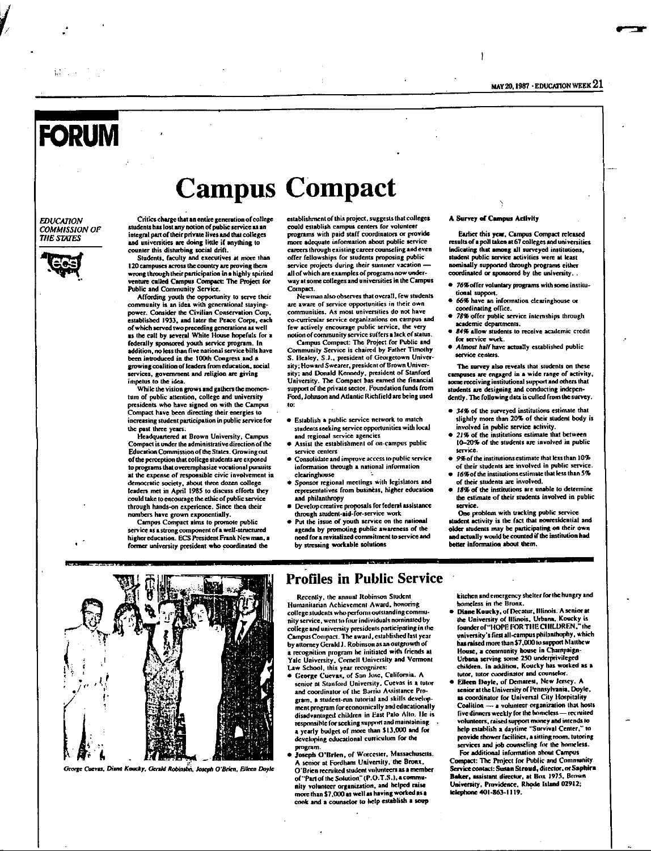## **FORUM**

#### *EDUCA110N COMMISSION OF*  **THE STATES**



Critics charge that an entire generation of college students has lost any notion of public service as an integral part of their private lives and that colleges and universities are doing little if anything to counter this disturbina social drift.

Students, facuity and executives at more than 120 campuses across the country are proving them wrong through their participation in a highly spirited venture called Campus Compact: The Project for Public and Community Service.

Affording youth the opportunity to serve their community is an idea with generational stayingpower. Consider the Civilian Conservation Corp, established 1933, and later the Peace Corps, each of which served two preceding generations as well as the call by several White House hopefuls for a federally sponsored youth service program. In addition, no less than five national service bills have been introduced in the 100th Congress and a crowing coalition of leaden from education. social ervices, government and religion are giving impetus to the idea.

While the vision grows and gathers the momentum of public attention, college and university presidents who have signed on with the Campus Compact have been directing their energies to increasing student participation in public service for the past three years.

Headquartered at Brown University, Campus Compact is under the administrative direction of 1he Education Commission of the States. Growing out of the perception that college students are exposed to programs that overemphasize vocational pursuits at the expense of responsible civic involvement in democratic society, about three dozen college leaders met in April 1985 to discuss efforts they could take to encourage the ethic of public service through hands-on experience. Since then their numbers have grown exponentially.

Campus Compact aims to promote public service as a slrong component of a wcll-struclurcd higher education. ECS President Frank Newman, a former university president who coordinated the

establishment of this project, suggests that colleges could establish campus centers for volunteer programs with paid staff coordinators or provide more adequate information about public service careers through existing career counseling and even offer fellowships foe s1udents proposing public service projects during their summer vacation all or which are examples or programs now underway at some colleges and universities in the Campus Compact.

**Campus Compact** 

Newman also observes that overall. few students are aware of service opportunities in their own communities. As most universities do not have co-curricular service organizations on campus and few actively encourage public service, the very notion of community service suffers a lack of Slatus.

Campus Compact: The Project for Public and Community Service is chaired by Father Timothy S. Healey, S.J., president of Georgetown University; Howard Swearer, president or Brown University; and Donald Kcnocdy. president of Stanford Univenity. Thc Compact has earned the financial support of the private sector. Foundation funds from Ford, Johnson and Atlantic Richfield arc being used to:

- Eslablish a public SC1Vice network 10 match students seeking service opportunities with local and regional service agencies
- Assist the establishment of on-campus public service centers
- Consolidate and improve access to public service information through a national information clcwinghousc
- Sponsor regional mcc1ings with legislators and representatives from business, higher education and philanthropy
- **Develop creative proposals for federal assistance** through student-aid-for-service work
- Put the issue of youth service on the national agenda by promoting public awareness or the need for a revitalized commitment to service and by stressing workable solutions

#### A Survey of Campus Activity

ł

Earlier this year, Campus Compact released results of a poll taken at 67 colleges and universities indicating that among all surveyed institutions, student public service activities were at least nominally supponcd through programs either coordinated or sponsored by lhc university ..

- 76% offer voluntary programs with some institutional support.
- 66% have an information clearinghouse or coordinating office.
- *1811* offer public service internships 1hrough academic departments.
- *IU96* allow students to receive academic crcdil for service wurk.
- *Almost halfhave* actually established public service centers.

The survey also reveals that students on these campuses are engaged in a wide range of activity, some receiving institutional support and others that students are designing and conducting independently. The following data is culled from the survey.

- 34% of the surveyed institutions estimate that slightly more than 20% of their student body is involved in public service activity.
- 21% of the institutions estimate that between 10-20% of the students are involved in public service.
- *9960(* the institutions estimate that less lhan I O'l, of their students are involved in public service.
	- 16% of the institutions estimate that less than 5% of their students are involved. 18% of the institutions are unable to determine
	- the estimate of their students involved in public service.

One problem with tracking public service student activity is the fact that nonresidential and older students may be participating on their own and actually would be counled if the insli1ution had better information about them.



George Cuevas, Diane Koucky, Gerald Robinson, Joseph O'Brien, Eileen Doyle

#### Profiles in Public Service

Recently, the annual Robinson Student Humanitarian Achievement Award, honoring college students who perform outstanding community service, went to four individuals nominated by college and university presidents participating in the Campus Compact. The award, established last year by attorney Gerald J. Robinson as an outgrowth of recognition program he initiated with friends at Yale University, Cornell University and Vermon<br>Law School, this year recognizes:

- George Cuevas, of San Jose, California. A senior at Stanford University. Cuevas is a tutor and coordinator of the Barrio Assistance Program, a student-run tutorial and skills development program for economically and educationally disadvantnged children in East Palo Alto. He is responsible for seeking support and mainlaining<br>a yearly budget of more than \$13,000 and for developing educational curriculum for the program.
- Joseph ()'Orlen, of Worccs1er, Massachusclls. A senior at Fordham University, the Bronx,<br>O'Brien recruited student volunteers as a member of "Part of the Soiution" (P.O.T.S.), a community volunteer organization, and helped raise more than \$7,000 as well as having worked as a cook and a counselor to help establish a soup

kitchen and ernergency shelter for the hungry and homeless in 1he Bronx.

- Diane Koucky, of Decatur, Illinois. A senior at the University of Illinois. Urbana. Koucky is founder of "HOPE FOR THE CHILDREN." the university's first all-campus philanthophy, which<br>has raised mune than \$7,000 to support Matthew House, a community house in Champaign-Urbana serving some 250 underprivileged children. In addition, Koucky has worked as a lutor, tutor coordinator and C(IUnsclor.
- Eileen Doyle, of Demarest, New Jersey. A senior at the University of Pennsylvania. Doyle. as coordinator for Universal City Hospitality Coalition - a volunteer organization that hosts five dinners weekly for the homeless - recruited voluntceB, raised 5Uf'PO" muney and intends IO help establish a daytime "Survival Center," to provide shower facilities, a sitting room, tutoring services and job counseling for the homeless.

For additional information about Campus Compact: The Project for Public and Comnunity Service contact: Susan Stroud, director, or Saphira<br>Baker, assistant director, at Box 1975, Brown University, Providence, Rhode Island 02912; lelephone 401-863-1119.

1.: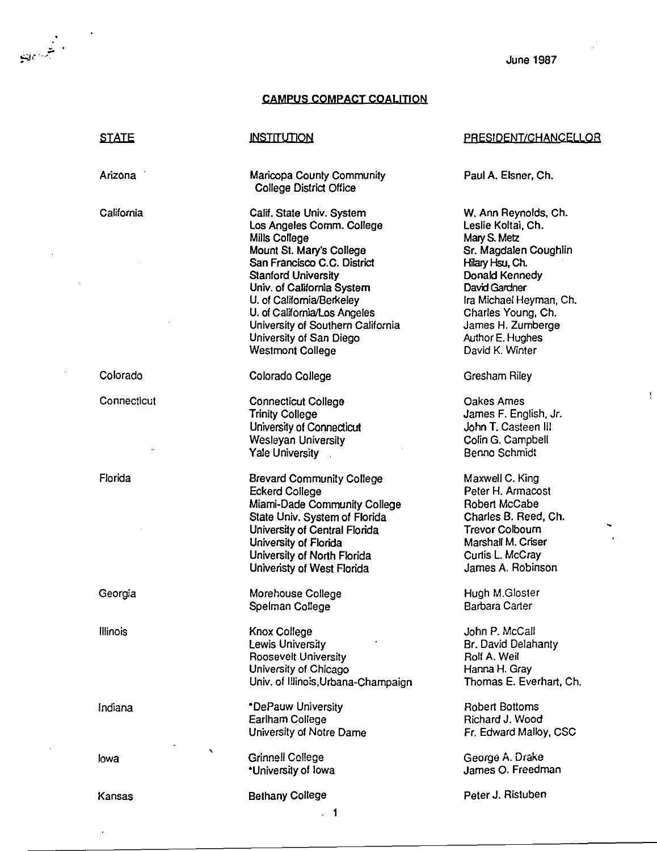#### **CAMPUS COMPACT COALITION**

#### **STATE**

أشبهها

Arizona

California

Colorado

Connecticut

Florida

Georgia

**Illinois** 

Indiana

lowa

Kansas

#### **INSTITUTION**

Maricopa County Community College District Office

Calif. State Univ. System Los Angeles Comm. College Mills College Mount St. Mary's College San Francisco C.C. District **Stanford University** Univ. of California System U. of California/Berkeley U. of California/Los Angeles University of Southern California University of San Diego **Westmont College** 

#### Colorado College

**Connecticut College Trinity College** University of Connecticut Wesleyan University Yale University

**Brevard Community College Eckerd College** Miami-Dade Community College State Univ. System of Florida University of Central Florida University of Florida University of North Florida Univeristy of West Florida

Morehouse College Spelman College

Knox College Lewis University Roosevelt University University of Chicago Univ. of Illinois, Urbana-Champaign

\*DePauw University Earlham College University of Notre Dame

**Grinnell College** \*University of lowa

#### **Bethany College**

#### PRESIDENT/CHANCELLOR

Paul A. Elsner, Ch.

W. Ann Reynolds, Ch. Leslie Koltai, Ch. Mary S. Metz Sr. Magdalen Coughlin Hilary Hsu. Ch. Donald Kennedy David Gardner Ira Michael Heyman, Ch. Charles Young, Ch. James H. Zumberge Author E. Hughes David K. Winter

Gresham Riley

Oakes Ames James F. English, Jr. John T. Casteen III Colin G. Campbell Benno Schmidt

Maxwell C. King Peter H. Armacost Robert McCabe Charles B. Reed, Ch. **Trevor Colbourn** Marshall M. Criser Curtis L. McCrav James A. Robinson

Hugh M.Gloster **Barbara Carter** 

John P. McCall Br. David Delahanty Rolf A. Weil Hanna H. Gray Thomas E. Everhart, Ch.

**Robert Bottoms** Richard J. Wood Fr. Edward Malloy, CSC

George A. Drake James O. Freedman

Peter J. Ristuben

 $\overline{\phantom{0}}$  1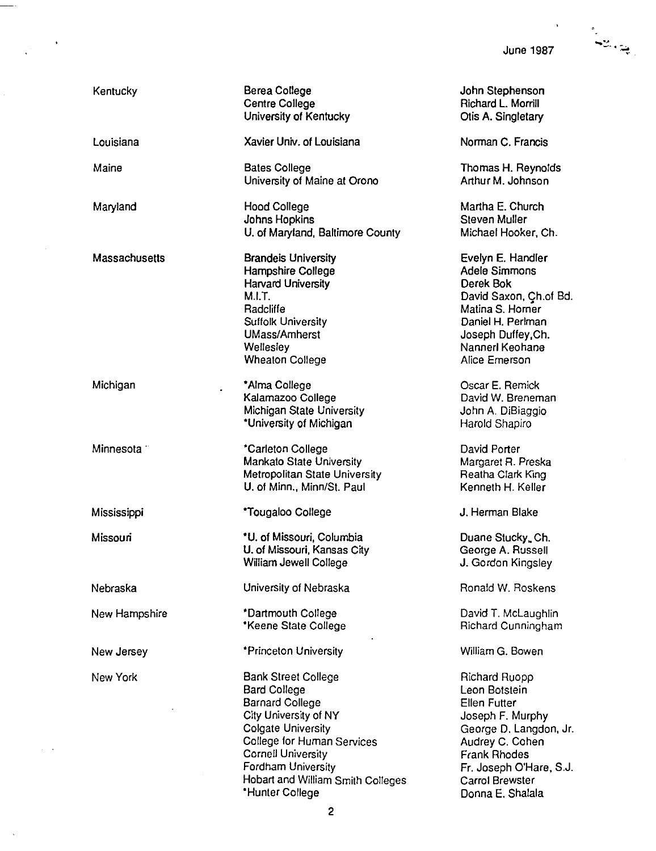June 1987

 $\ddot{\phantom{a}}$ 

| Kentucky               | Berea College<br><b>Centre College</b><br>University of Kentucky                                                                                                                                                                                                                  | John Stephenson<br>Richard L. Morrill<br>Otis A. Singletary                                                                                                                                                            |
|------------------------|-----------------------------------------------------------------------------------------------------------------------------------------------------------------------------------------------------------------------------------------------------------------------------------|------------------------------------------------------------------------------------------------------------------------------------------------------------------------------------------------------------------------|
| Louisiana              | Xavier Univ. of Louisiana                                                                                                                                                                                                                                                         | Norman C. Francis                                                                                                                                                                                                      |
| Maine                  | <b>Bates College</b><br>University of Maine at Orono                                                                                                                                                                                                                              | Thomas H. Reynolds<br>Arthur M. Johnson                                                                                                                                                                                |
| Maryland               | <b>Hood College</b><br>Johns Hopkins<br>U. of Maryland, Baltimore County                                                                                                                                                                                                          | Martha E. Church<br>Steven Muller<br>Michael Hooker, Ch.                                                                                                                                                               |
| Massachusetts          | <b>Brandels University</b><br>Hampshire College<br><b>Harvard University</b><br>M.I.T.<br>Radcliffe<br><b>Suffolk University</b><br><b>UMass/Amherst</b><br>Wellesley<br><b>Wheaton College</b>                                                                                   | Evelyn E. Handler<br><b>Adele Simmons</b><br>Derek Bok<br>David Saxon, Ch.of Bd.<br>Matina S. Horner<br>Daniel H. Perlman<br>Joseph Duffey, Ch.<br>Nannerl Keohane<br>Alice Emerson                                    |
| Michigan               | *Alma College<br>Kalamazoo College<br>Michigan State University<br>"University of Michigan                                                                                                                                                                                        | Oscar E. Remick<br>David W. Breneman<br>John A. DiBiaggio<br>Harold Shapiro                                                                                                                                            |
| Minnesota <sup>-</sup> | *Carleton College<br><b>Mankato State University</b><br>Metropolitan State University<br>U. of Minn., Minn/St. Paul                                                                                                                                                               | David Porter<br>Margaret R. Preska<br>Reatha Clark King<br>Kenneth H. Keller                                                                                                                                           |
| Mississippi            | *Tougaloo College                                                                                                                                                                                                                                                                 | J. Herman Blake                                                                                                                                                                                                        |
| Missouri               | *U. of Missouri, Columbia<br>U. of Missouri, Kansas City<br>William Jewell College                                                                                                                                                                                                | Duane Stucky, Ch.<br>George A. Russell<br>J. Gordon Kingsley                                                                                                                                                           |
| Nebraska               | University of Nebraska                                                                                                                                                                                                                                                            | Ronald W. Roskens                                                                                                                                                                                                      |
| New Hampshire          | *Dartmouth College<br>*Keene State College                                                                                                                                                                                                                                        | David T. McLaughlin<br>Richard Cunningham                                                                                                                                                                              |
| New Jersey             | *Princeton University                                                                                                                                                                                                                                                             | William G. Bowen                                                                                                                                                                                                       |
| New York               | <b>Bank Street College</b><br><b>Bard College</b><br><b>Barnard College</b><br>City University of NY<br><b>Colgate University</b><br>College for Human Services<br><b>Cornell University</b><br><b>Fordham University</b><br>Hobart and William Smith Colleges<br>*Hunter College | Richard Ruopp<br>Leon Botstein<br><b>Ellen Futter</b><br>Joseph F. Murphy<br>George D. Langdon, Jr.<br>Audrey C. Cohen<br><b>Frank Rhodes</b><br>Fr. Joseph O'Hare, S.J.<br><b>Carrol Brewster</b><br>Donna E. Shalala |

 $\ddot{\phantom{0}}$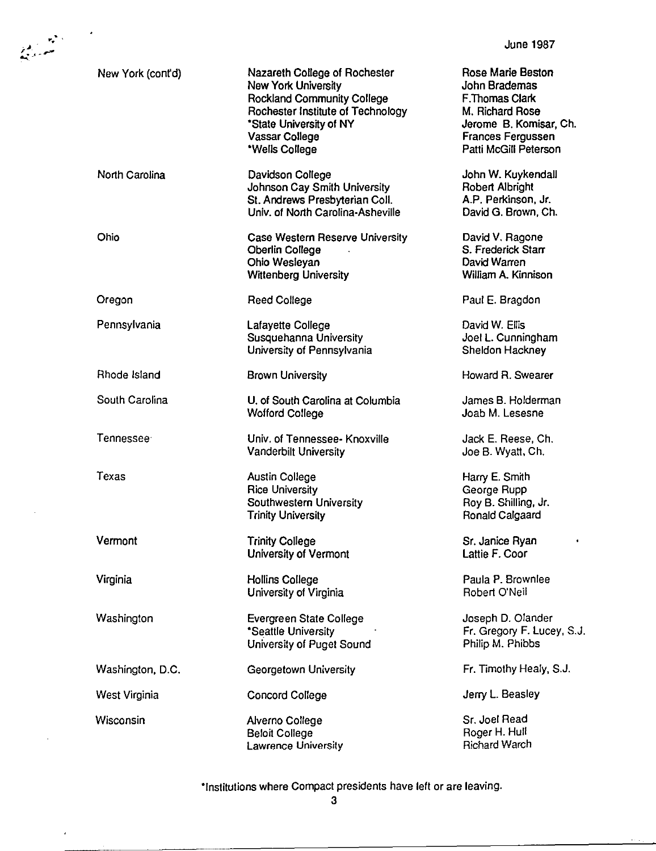| $\mathcal{L}_{\mathbf{p}}$ |                   |                                                                                                                                                                                                      | <b>June 1987</b>                                                                                                                                              |
|----------------------------|-------------------|------------------------------------------------------------------------------------------------------------------------------------------------------------------------------------------------------|---------------------------------------------------------------------------------------------------------------------------------------------------------------|
|                            | New York (cont'd) | Nazareth College of Rochester<br><b>New York University</b><br><b>Rockland Community College</b><br>Rochester Institute of Technology<br>*State University of NY<br>Vassar College<br>*Wells College | Rose Marie Beston<br><b>John Brademas</b><br>F.Thomas Clark<br>M. Richard Rose<br>Jerome B. Komisar, Ch.<br><b>Frances Fergussen</b><br>Patti McGill Peterson |
|                            | North Carolina    | Davidson College<br>Johnson Cay Smith University<br>St. Andrews Presbyterian Coll.<br>Univ. of North Carolina-Asheville                                                                              | John W. Kuykendall<br>Robert Albright<br>A.P. Perkinson, Jr.<br>David G. Brown, Ch.                                                                           |
|                            | Ohio              | Case Western Reserve University<br><b>Oberlin College</b><br>Ohio Wesleyan<br><b>Wittenberg University</b>                                                                                           | David V. Ragone<br>S. Frederick Starr<br>David Warren<br>William A. Kinnison                                                                                  |
|                            | Oregon            | <b>Reed College</b>                                                                                                                                                                                  | Paul E. Bragdon                                                                                                                                               |
|                            | Pennsylvania      | Lafayette College<br>Susquehanna University<br>University of Pennsylvania                                                                                                                            | David W. Ellis<br>Joel L. Cunningham<br>Sheldon Hackney                                                                                                       |
|                            | Rhode Island      | <b>Brown University</b>                                                                                                                                                                              | Howard R. Swearer                                                                                                                                             |
|                            | South Carolina    | U. of South Carolina at Columbia<br><b>Wofford College</b>                                                                                                                                           | James B. Holderman<br>Joab M. Lesesne                                                                                                                         |
|                            | Tennessee         | Univ. of Tennessee- Knoxville<br><b>Vanderbilt University</b>                                                                                                                                        | Jack E. Reese, Ch.<br>Joe B. Wyatt, Ch.                                                                                                                       |
|                            | Texas             | <b>Austin College</b><br><b>Rice University</b><br>Southwestern University<br><b>Trinity University</b>                                                                                              | Harry E. Smith<br>George Rupp<br>Roy B. Shilling, Jr.<br>Ronald Calgaard                                                                                      |
|                            | Vermont           | <b>Trinity College</b><br><b>University of Vermont</b>                                                                                                                                               | Sr. Janice Ryan<br>٠<br>Lattie F. Coor                                                                                                                        |
|                            | Virginia          | Hollins College<br>University of Virginia                                                                                                                                                            | Paula P. Brownlee<br>Robert O'Neil                                                                                                                            |
|                            | Washington        | Evergreen State College<br>*Seattle University<br>University of Puget Sound                                                                                                                          | Joseph D. Olander<br>Fr. Gregory F. Lucey, S.J.<br>Philip M. Phibbs                                                                                           |
|                            | Washington, D.C.  | Georgetown University                                                                                                                                                                                | Fr. Timothy Healy, S.J.                                                                                                                                       |
|                            | West Virginia     | <b>Concord College</b>                                                                                                                                                                               | Jerry L. Beasley                                                                                                                                              |
|                            | Wisconsin         | Alverno College<br><b>Beloit College</b><br>Lawrence University                                                                                                                                      | Sr. Joel Read<br>Roger H. Hull<br><b>Richard Warch</b>                                                                                                        |

 $\epsilon$ 

"Institutions where Compact presidents have left or are leaving.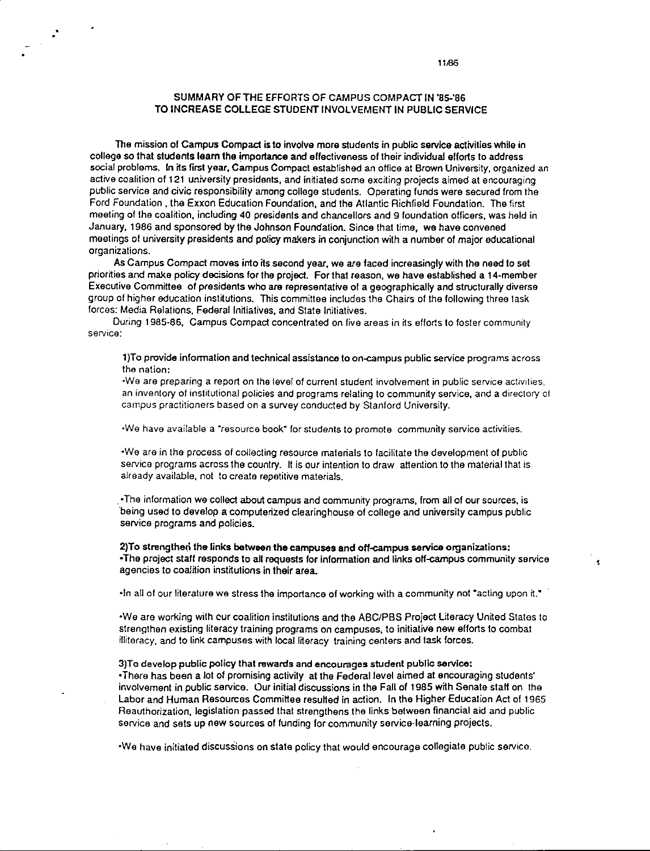#### SUMMARY OF THE EFFORTS OF CAMPUS COMPACT IN '85-'86 TO INCREASE COLLEGE STUDENT INVOLVEMENT IN PUBLIC SERVICE

The mission of Campus Compact is to involve more students in public service activities while in college so that students leam the importance and effectiveness of their individual efforts 1o address social problems, In its first year, Campus Compact established an office at Brown University, organized an active coalition of 121 university presidents, and inrtiated some exciting projects aimed al encouraging public service and civic responsibility among college students. Operating funds were secured from the Ford Foundation , the Exxon Education Foundation, and the Atlantic Richfield Foundation. The first meeting of the coalition, including 40 presidents and chancellors and 9 foundation officers, was held in January, 1986 and sponsored by the Johnson Foundation. Since that lime, **we** have convened meetings of university presidents and policy makers in conjunction with a number of major educational organizations.

**As** Campus Compact moves into its second year, **we** are faced increasingly with the need to set priorities and make policy decisions for the project. For that reason, we have established a 14-member Executive Committee of presidents who are representative of a geographically and structurally diverse group of higher education institutions. This committee includes the Chairs of the following three task forces: Media Relations, Federal Initiatives, and State Initiatives.

During 1985-86, Campus Compact concentrated on five areas in its efforts to foster community service:

1)To provide information and technical assistance to on<ampus public service programs across the nation:

•We are preparing a report on the level of current student involvement in public service activities. an inventory of institutional policies and programs relating to community service, and a directory of campus practitioners based on a survey conducted by Stanford University.

•We have available a ~resource book" for students to promote community service activities.

•We are in Iha process of collecting resource materials to facilitate the development of public service programs across the country. It is our intention to draw attention to the material that is already available, not to create repetitive materials.

. • The information **we** collect about campus and communrty programs, from all of our sources, **is**  being used to develop a computerized clearinghouse of college and university campus public service programs and policies.

**2)To strengtherl the links between the campuses and off-campus service organizations:**  •The project staff responds to all requests for information and links off-campus community service agencies to coalition institutions in their area.

•In all of our literature we stress the importance of working with a community not "acting upon it."

•We are working with cur coalition institutions and the ABC/PBS Project Lrteracy United States to strengthen existing literacy training programs on campuses, to initiative new efforts to combat illiteracy, and to link campuses with local literacy training centers and task forces.

3)T o develop public policy that **rewards** and encourages student public **service:**  • There has been a lot of promising activity at the Federal level aimed at encouraging students' involvement in public service. Our initial discussions in the Fall of 1985 wtth Senate staff on the labor and Human Resources Committee resulted in action. In the Higher Education Act of 1965 Reauthorization, legislation passed that strengthens the links between financial aid and public service and sets up new sources of funding for community service-learning projects.

•We have initiated discussions on state policy that would encourage collegiate public service.

Ā.